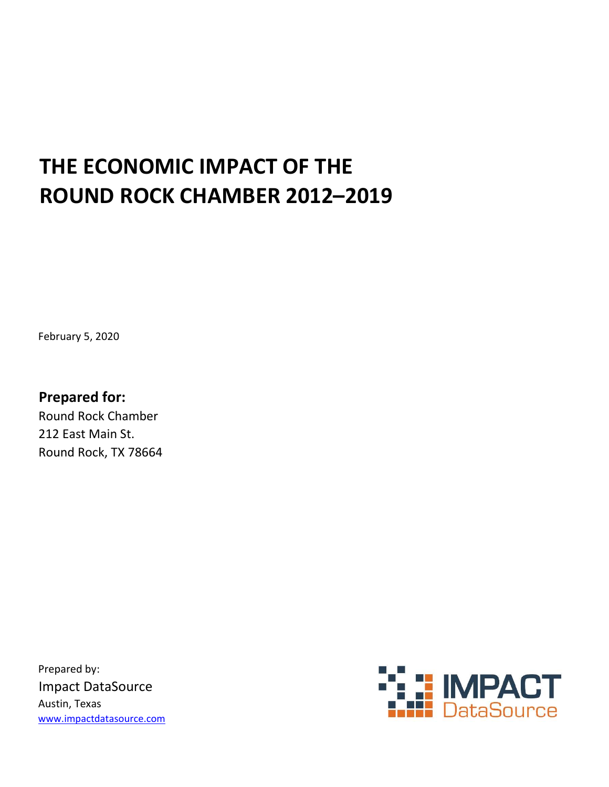## THE ECONOMIC IMPACT OF THE ROUND ROCK CHAMBER 2012–2019

February 5, 2020

Prepared for: Round Rock Chamber 212 East Main St. Round Rock, TX 78664

Prepared by: Impact DataSource Austin, Texas www.impactdatasource.com

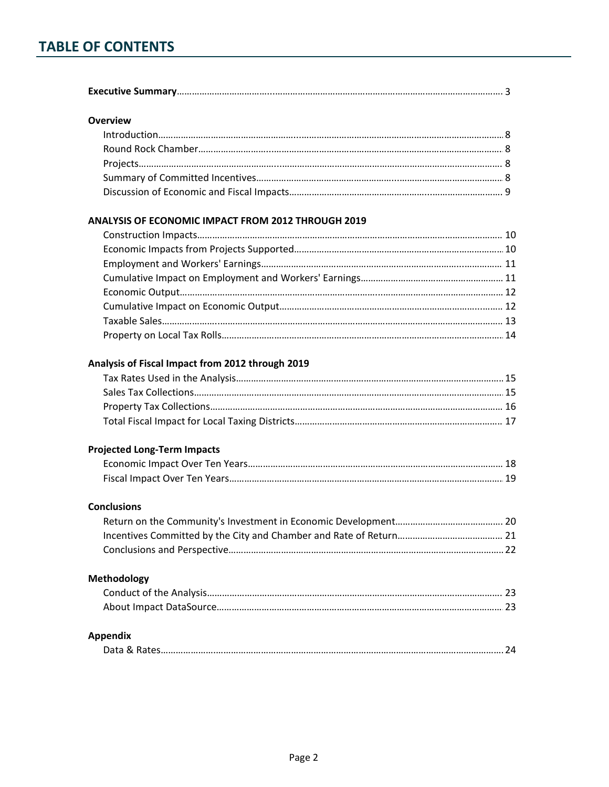## TABLE OF CONTENTS

| <b>Overview</b><br><b>ANALYSIS OF ECONOMIC IMPACT FROM 2012 THROUGH 2019</b><br>Analysis of Fiscal Impact from 2012 through 2019<br><b>Projected Long-Term Impacts</b><br><b>Conclusions</b><br>Methodology<br><b>Appendix</b> |  |
|--------------------------------------------------------------------------------------------------------------------------------------------------------------------------------------------------------------------------------|--|
|                                                                                                                                                                                                                                |  |
|                                                                                                                                                                                                                                |  |
|                                                                                                                                                                                                                                |  |
|                                                                                                                                                                                                                                |  |
|                                                                                                                                                                                                                                |  |
|                                                                                                                                                                                                                                |  |
|                                                                                                                                                                                                                                |  |
|                                                                                                                                                                                                                                |  |
|                                                                                                                                                                                                                                |  |
|                                                                                                                                                                                                                                |  |
|                                                                                                                                                                                                                                |  |
|                                                                                                                                                                                                                                |  |
|                                                                                                                                                                                                                                |  |
|                                                                                                                                                                                                                                |  |
|                                                                                                                                                                                                                                |  |
|                                                                                                                                                                                                                                |  |
|                                                                                                                                                                                                                                |  |
|                                                                                                                                                                                                                                |  |
|                                                                                                                                                                                                                                |  |
|                                                                                                                                                                                                                                |  |
|                                                                                                                                                                                                                                |  |
|                                                                                                                                                                                                                                |  |
|                                                                                                                                                                                                                                |  |
|                                                                                                                                                                                                                                |  |
|                                                                                                                                                                                                                                |  |
|                                                                                                                                                                                                                                |  |
|                                                                                                                                                                                                                                |  |
|                                                                                                                                                                                                                                |  |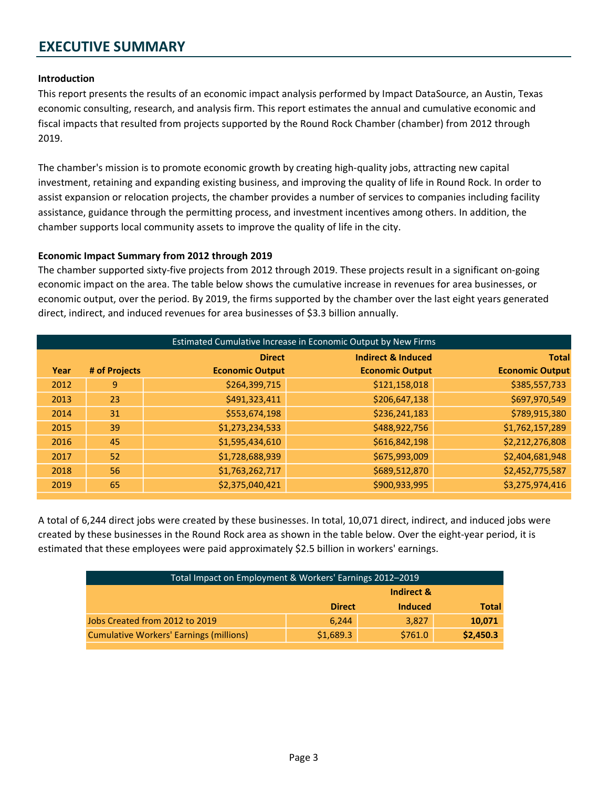#### Introduction

This report presents the results of an economic impact analysis performed by Impact DataSource, an Austin, Texas economic consulting, research, and analysis firm. This report estimates the annual and cumulative economic and fiscal impacts that resulted from projects supported by the Round Rock Chamber (chamber) from 2012 through 2019.

The chamber's mission is to promote economic growth by creating high-quality jobs, attracting new capital investment, retaining and expanding existing business, and improving the quality of life in Round Rock. In order to assist expansion or relocation projects, the chamber provides a number of services to companies including facility assistance, guidance through the permitting process, and investment incentives among others. In addition, the chamber supports local community assets to improve the quality of life in the city.

#### Economic Impact Summary from 2012 through 2019

The chamber supported sixty-five projects from 2012 through 2019. These projects result in a significant on-going economic impact on the area. The table below shows the cumulative increase in revenues for area businesses, or economic output, over the period. By 2019, the firms supported by the chamber over the last eight years generated direct, indirect, and induced revenues for area businesses of \$3.3 billion annually.

|      | Estimated Cumulative Increase in Economic Output by New Firms |                        |                               |                        |  |  |
|------|---------------------------------------------------------------|------------------------|-------------------------------|------------------------|--|--|
|      |                                                               | <b>Direct</b>          | <b>Indirect &amp; Induced</b> | <b>Total</b>           |  |  |
| Year | # of Projects                                                 | <b>Economic Output</b> | <b>Economic Output</b>        | <b>Economic Output</b> |  |  |
| 2012 | 9                                                             | \$264,399,715          | \$121,158,018                 | \$385,557,733          |  |  |
| 2013 | 23                                                            | \$491,323,411          | \$206,647,138                 | \$697,970,549          |  |  |
| 2014 | 31                                                            | \$553,674,198          | \$236,241,183                 | \$789,915,380          |  |  |
| 2015 | 39                                                            | \$1,273,234,533        | \$488,922,756                 | \$1,762,157,289        |  |  |
| 2016 | 45                                                            | \$1,595,434,610        | \$616,842,198                 | \$2,212,276,808        |  |  |
| 2017 | 52                                                            | \$1,728,688,939        | \$675,993,009                 | \$2,404,681,948        |  |  |
| 2018 | 56                                                            | \$1,763,262,717        | \$689,512,870                 | \$2,452,775,587        |  |  |
| 2019 | 65                                                            | \$2,375,040,421        | \$900,933,995                 | \$3,275,974,416        |  |  |

A total of 6,244 direct jobs were created by these businesses. In total, 10,071 direct, indirect, and induced jobs were created by these businesses in the Round Rock area as shown in the table below. Over the eight-year period, it is estimated that these employees were paid approximately \$2.5 billion in workers' earnings.

| Total Impact on Employment & Workers' Earnings 2012-2019 |               |                |              |
|----------------------------------------------------------|---------------|----------------|--------------|
| Indirect &                                               |               |                |              |
|                                                          | <b>Direct</b> | <b>Induced</b> | <b>Total</b> |
| Jobs Created from 2012 to 2019                           | 6.244         | 3.827          | 10,071       |
| <b>Cumulative Workers' Earnings (millions)</b>           | \$1,689.3     | \$761.0        | \$2,450.3    |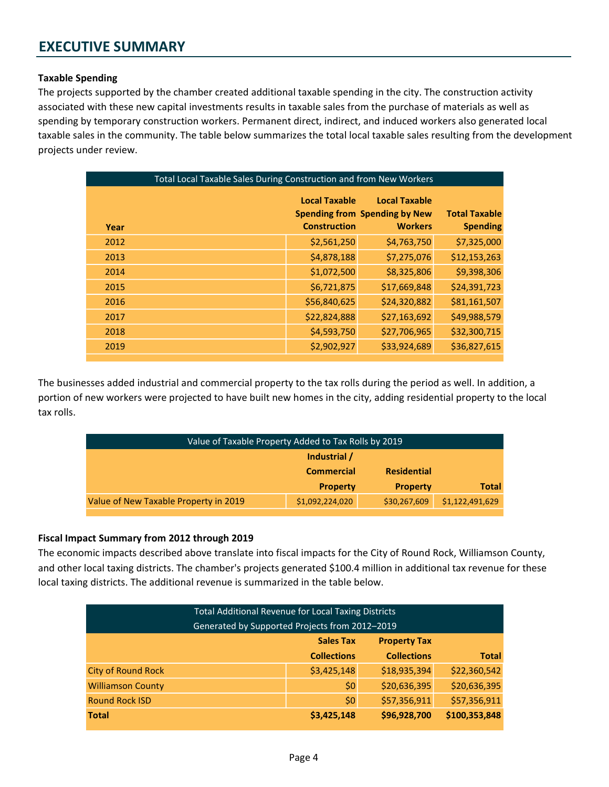#### Taxable Spending

The projects supported by the chamber created additional taxable spending in the city. The construction activity associated with these new capital investments results in taxable sales from the purchase of materials as well as spending by temporary construction workers. Permanent direct, indirect, and induced workers also generated local taxable sales in the community. The table below summarizes the total local taxable sales resulting from the development projects under review.

| Total Local Taxable Sales During Construction and from New Workers |  |                                             |                                                                                |                                         |
|--------------------------------------------------------------------|--|---------------------------------------------|--------------------------------------------------------------------------------|-----------------------------------------|
| Year                                                               |  | <b>Local Taxable</b><br><b>Construction</b> | <b>Local Taxable</b><br><b>Spending from Spending by New</b><br><b>Workers</b> | <b>Total Taxable</b><br><b>Spending</b> |
| 2012                                                               |  | \$2,561,250                                 | \$4,763,750                                                                    | \$7,325,000                             |
| 2013                                                               |  | \$4,878,188                                 | \$7,275,076                                                                    | \$12,153,263                            |
| 2014                                                               |  | \$1,072,500                                 | \$8,325,806                                                                    | \$9,398,306                             |
| 2015                                                               |  | \$6,721,875                                 | \$17,669,848                                                                   | \$24,391,723                            |
| 2016                                                               |  | \$56,840,625                                | \$24,320,882                                                                   | \$81,161,507                            |
| 2017                                                               |  | \$22,824,888                                | \$27,163,692                                                                   | \$49,988,579                            |
| 2018                                                               |  | \$4,593,750                                 | \$27,706,965                                                                   | \$32,300,715                            |
| 2019                                                               |  | \$2,902,927                                 | \$33,924,689                                                                   | \$36,827,615                            |

The businesses added industrial and commercial property to the tax rolls during the period as well. In addition, a portion of new workers were projected to have built new homes in the city, adding residential property to the local tax rolls.

| Value of Taxable Property Added to Tax Rolls by 2019 |                   |                    |                 |
|------------------------------------------------------|-------------------|--------------------|-----------------|
| Industrial /                                         |                   |                    |                 |
|                                                      | <b>Commercial</b> | <b>Residential</b> |                 |
|                                                      | <b>Total</b>      |                    |                 |
| Value of New Taxable Property in 2019                | \$1,092,224,020   | \$30,267,609       | \$1,122,491,629 |

#### Fiscal Impact Summary from 2012 through 2019

The economic impacts described above translate into fiscal impacts for the City of Round Rock, Williamson County, and other local taxing districts. The chamber's projects generated \$100.4 million in additional tax revenue for these local taxing districts. The additional revenue is summarized in the table below.

| <b>Total Additional Revenue for Local Taxing Districts</b>   |             |              |              |  |  |
|--------------------------------------------------------------|-------------|--------------|--------------|--|--|
| Generated by Supported Projects from 2012-2019               |             |              |              |  |  |
| <b>Sales Tax</b><br><b>Property Tax</b>                      |             |              |              |  |  |
| <b>Collections</b><br><b>Total</b><br><b>Collections</b>     |             |              |              |  |  |
| <b>City of Round Rock</b>                                    | \$3,425,148 | \$18,935,394 | \$22,360,542 |  |  |
| <b>Williamson County</b>                                     | \$0         | \$20,636,395 | \$20,636,395 |  |  |
| <b>Round Rock ISD</b>                                        | \$0         | \$57,356,911 | \$57,356,911 |  |  |
| \$96,928,700<br>\$100,353,848<br>\$3,425,148<br><b>Total</b> |             |              |              |  |  |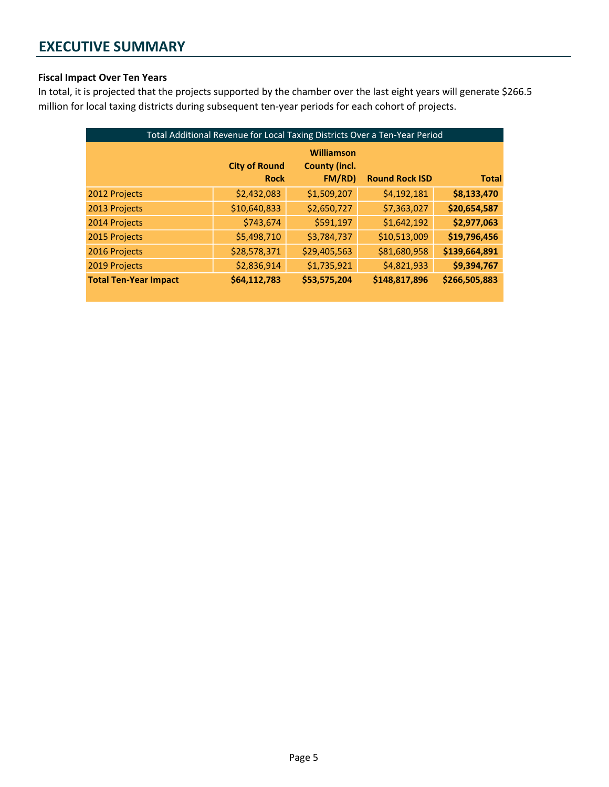#### Fiscal Impact Over Ten Years

In total, it is projected that the projects supported by the chamber over the last eight years will generate \$266.5 million for local taxing districts during subsequent ten-year periods for each cohort of projects.

| Total Additional Revenue for Local Taxing Districts Over a Ten-Year Period |                                     |                                              |                       |               |
|----------------------------------------------------------------------------|-------------------------------------|----------------------------------------------|-----------------------|---------------|
|                                                                            | <b>City of Round</b><br><b>Rock</b> | Williamson<br><b>County (incl.</b><br>FM/RD) | <b>Round Rock ISD</b> | <b>Total</b>  |
| 2012 Projects                                                              | \$2,432,083                         | \$1,509,207                                  | \$4,192,181           | \$8,133,470   |
| 2013 Projects                                                              | \$10,640,833                        | \$2,650,727                                  | \$7,363,027           | \$20,654,587  |
| 2014 Projects                                                              | \$743,674                           | \$591,197                                    | \$1,642,192           | \$2,977,063   |
| 2015 Projects                                                              | \$5,498,710                         | \$3,784,737                                  | \$10,513,009          | \$19,796,456  |
| 2016 Projects                                                              | \$28,578,371                        | \$29,405,563                                 | \$81,680,958          | \$139,664,891 |
| 2019 Projects                                                              | \$2,836,914                         | \$1,735,921                                  | \$4,821,933           | \$9,394,767   |
| <b>Total Ten-Year Impact</b>                                               | \$64,112,783                        | \$53,575,204                                 | \$148,817,896         | \$266,505,883 |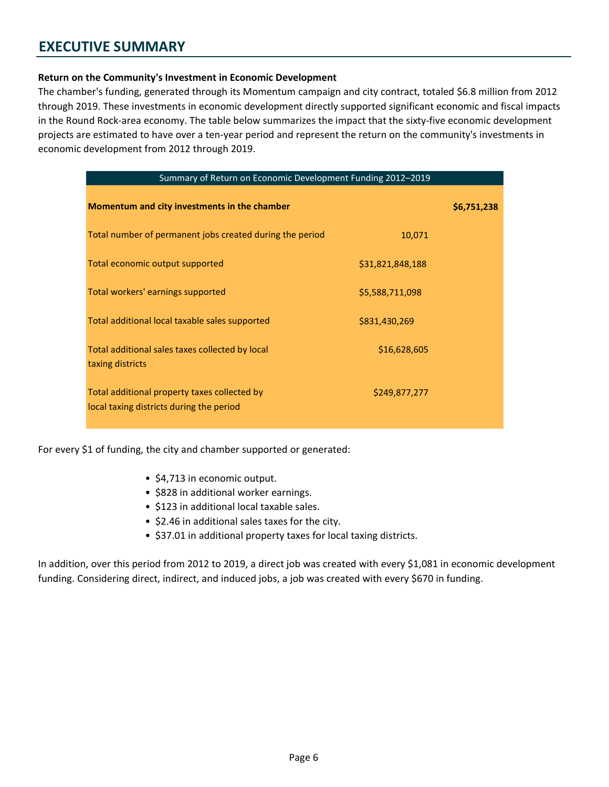#### Return on the Community's Investment in Economic Development

The chamber's funding, generated through its Momentum campaign and city contract, totaled \$6.8 million from 2012 through 2019. These investments in economic development directly supported significant economic and fiscal impacts in the Round Rock-area economy. The table below summarizes the impact that the sixty-five economic development projects are estimated to have over a ten-year period and represent the return on the community's investments in economic development from 2012 through 2019.

| Summary of Return on Economic Development Funding 2012-2019                              |                  |             |
|------------------------------------------------------------------------------------------|------------------|-------------|
| Momentum and city investments in the chamber                                             |                  | \$6,751,238 |
| Total number of permanent jobs created during the period                                 | 10,071           |             |
| Total economic output supported                                                          | \$31,821,848,188 |             |
| Total workers' earnings supported                                                        | \$5,588,711,098  |             |
| Total additional local taxable sales supported                                           | \$831,430,269    |             |
| Total additional sales taxes collected by local<br>taxing districts                      | \$16,628,605     |             |
| Total additional property taxes collected by<br>local taxing districts during the period | \$249,877,277    |             |

For every \$1 of funding, the city and chamber supported or generated:

- \$4,713 in economic output.
- \$828 in additional worker earnings.
- \$123 in additional local taxable sales.
- \$2.46 in additional sales taxes for the city.
- \$37.01 in additional property taxes for local taxing districts.

In addition, over this period from 2012 to 2019, a direct job was created with every \$1,081 in economic development funding. Considering direct, indirect, and induced jobs, a job was created with every \$670 in funding.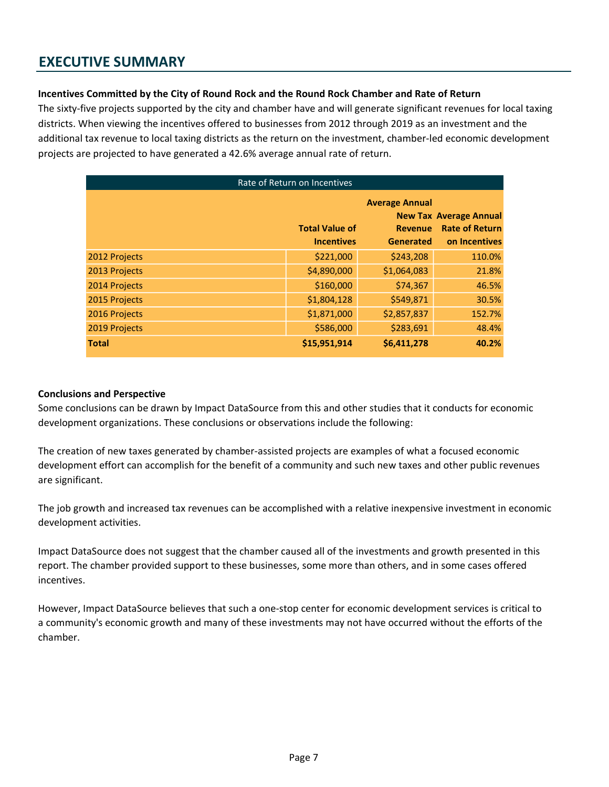#### Incentives Committed by the City of Round Rock and the Round Rock Chamber and Rate of Return

The sixty-five projects supported by the city and chamber have and will generate significant revenues for local taxing districts. When viewing the incentives offered to businesses from 2012 through 2019 as an investment and the additional tax revenue to local taxing districts as the return on the investment, chamber-led economic development projects are projected to have generated a 42.6% average annual rate of return.

| Rate of Return on Incentives |                       |                       |                                                        |  |
|------------------------------|-----------------------|-----------------------|--------------------------------------------------------|--|
|                              |                       | <b>Average Annual</b> |                                                        |  |
|                              | <b>Total Value of</b> | <b>Revenue</b>        | <b>New Tax Average Annual</b><br><b>Rate of Return</b> |  |
|                              | <b>Incentives</b>     | <b>Generated</b>      | on Incentives                                          |  |
| 2012 Projects                | \$221,000             | \$243,208             | 110.0%                                                 |  |
| 2013 Projects                | \$4,890,000           | \$1,064,083           | 21.8%                                                  |  |
| 2014 Projects                | \$160,000             | \$74,367              | 46.5%                                                  |  |
| 2015 Projects                | \$1,804,128           | \$549,871             | 30.5%                                                  |  |
| 2016 Projects                | \$1,871,000           | \$2,857,837           | 152.7%                                                 |  |
| 2019 Projects                | \$586,000             | \$283,691             | 48.4%                                                  |  |
| <b>Total</b>                 | \$15,951,914          | \$6,411,278           | 40.2%                                                  |  |

#### Conclusions and Perspective

Some conclusions can be drawn by Impact DataSource from this and other studies that it conducts for economic development organizations. These conclusions or observations include the following:

The creation of new taxes generated by chamber-assisted projects are examples of what a focused economic development effort can accomplish for the benefit of a community and such new taxes and other public revenues are significant.

The job growth and increased tax revenues can be accomplished with a relative inexpensive investment in economic development activities.

Impact DataSource does not suggest that the chamber caused all of the investments and growth presented in this report. The chamber provided support to these businesses, some more than others, and in some cases offered incentives.

However, Impact DataSource believes that such a one-stop center for economic development services is critical to a community's economic growth and many of these investments may not have occurred without the efforts of the chamber.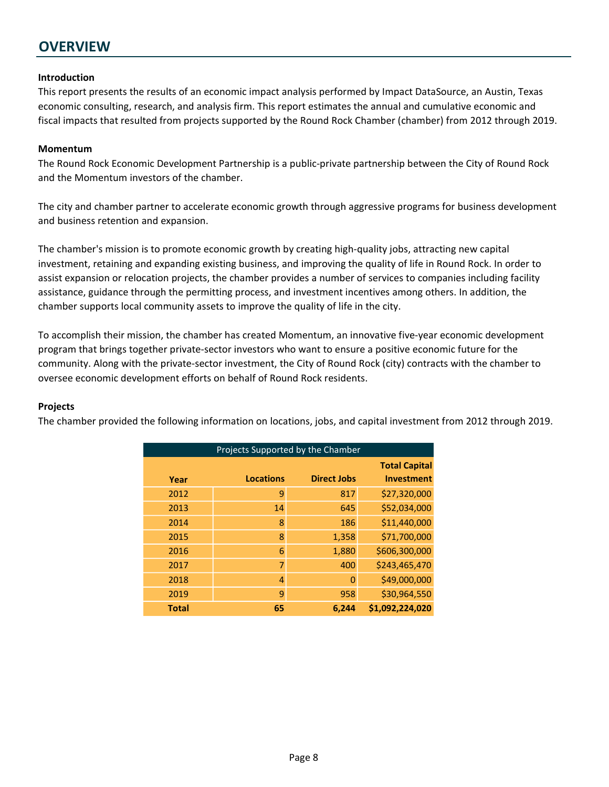## **OVERVIEW**

#### Introduction

This report presents the results of an economic impact analysis performed by Impact DataSource, an Austin, Texas economic consulting, research, and analysis firm. This report estimates the annual and cumulative economic and fiscal impacts that resulted from projects supported by the Round Rock Chamber (chamber) from 2012 through 2019.

#### Momentum

The Round Rock Economic Development Partnership is a public-private partnership between the City of Round Rock and the Momentum investors of the chamber.

The city and chamber partner to accelerate economic growth through aggressive programs for business development and business retention and expansion.

The chamber's mission is to promote economic growth by creating high-quality jobs, attracting new capital investment, retaining and expanding existing business, and improving the quality of life in Round Rock. In order to assist expansion or relocation projects, the chamber provides a number of services to companies including facility assistance, guidance through the permitting process, and investment incentives among others. In addition, the chamber supports local community assets to improve the quality of life in the city.

To accomplish their mission, the chamber has created Momentum, an innovative five-year economic development program that brings together private-sector investors who want to ensure a positive economic future for the community. Along with the private-sector investment, the City of Round Rock (city) contracts with the chamber to oversee economic development efforts on behalf of Round Rock residents.

#### Projects

The chamber provided the following information on locations, jobs, and capital investment from 2012 through 2019.

| Projects Supported by the Chamber |                  |                    |                      |  |  |
|-----------------------------------|------------------|--------------------|----------------------|--|--|
|                                   |                  |                    | <b>Total Capital</b> |  |  |
| Year                              | <b>Locations</b> | <b>Direct Jobs</b> | <b>Investment</b>    |  |  |
| 2012                              | 9                | 817                | \$27,320,000         |  |  |
| 2013                              | 14               | 645                | \$52,034,000         |  |  |
| 2014                              | 8                | 186                | \$11,440,000         |  |  |
| 2015                              | 8                | 1,358              | \$71,700,000         |  |  |
| 2016                              | 6                | 1,880              | \$606,300,000        |  |  |
| 2017                              | 7                | 400                | \$243,465,470        |  |  |
| 2018                              | 4                | $\Omega$           | \$49,000,000         |  |  |
| 2019                              | 9                | 958                | \$30,964,550         |  |  |
| <b>Total</b>                      | 65               | 6,244              | \$1,092,224,020      |  |  |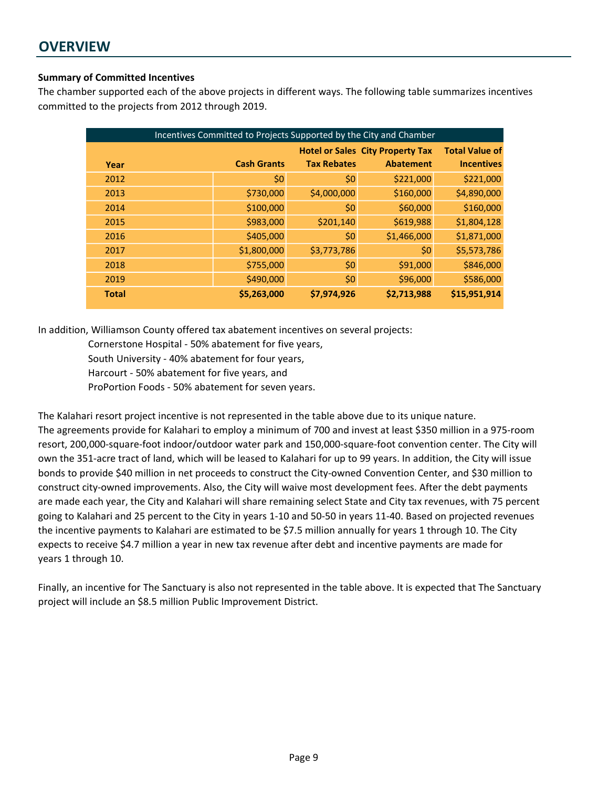## **OVERVIEW**

#### Summary of Committed Incentives

The chamber supported each of the above projects in different ways. The following table summarizes incentives committed to the projects from 2012 through 2019.

| Incentives Committed to Projects Supported by the City and Chamber |                                         |                    |                    |                  |                       |
|--------------------------------------------------------------------|-----------------------------------------|--------------------|--------------------|------------------|-----------------------|
|                                                                    | <b>Hotel or Sales City Property Tax</b> |                    |                    |                  | <b>Total Value of</b> |
| Year                                                               |                                         | <b>Cash Grants</b> | <b>Tax Rebates</b> | <b>Abatement</b> | <b>Incentives</b>     |
| 2012                                                               |                                         | \$0                | \$0                | \$221,000        | \$221,000             |
| 2013                                                               |                                         | \$730,000          | \$4,000,000        | \$160,000        | \$4,890,000           |
| 2014                                                               |                                         | \$100,000          | \$0                | \$60,000         | \$160,000             |
| 2015                                                               |                                         | \$983,000          | \$201,140          | \$619,988        | \$1,804,128           |
| 2016                                                               |                                         | \$405,000          | \$0                | \$1,466,000      | \$1,871,000           |
| 2017                                                               |                                         | \$1,800,000        | \$3,773,786        | \$0              | \$5,573,786           |
| 2018                                                               |                                         | \$755,000          | \$0                | \$91,000         | \$846,000             |
| 2019                                                               |                                         | \$490,000          | \$0                | \$96,000         | \$586,000             |
| <b>Total</b>                                                       |                                         | \$5,263,000        | \$7,974,926        | \$2,713,988      | \$15,951,914          |

In addition, Williamson County offered tax abatement incentives on several projects:

Cornerstone Hospital - 50% abatement for five years, South University - 40% abatement for four years, Harcourt - 50% abatement for five years, and

ProPortion Foods - 50% abatement for seven years.

The Kalahari resort project incentive is not represented in the table above due to its unique nature. The agreements provide for Kalahari to employ a minimum of 700 and invest at least \$350 million in a 975-room resort, 200,000-square-foot indoor/outdoor water park and 150,000-square-foot convention center. The City will own the 351-acre tract of land, which will be leased to Kalahari for up to 99 years. In addition, the City will issue bonds to provide \$40 million in net proceeds to construct the City-owned Convention Center, and \$30 million to construct city-owned improvements. Also, the City will waive most development fees. After the debt payments are made each year, the City and Kalahari will share remaining select State and City tax revenues, with 75 percent going to Kalahari and 25 percent to the City in years 1-10 and 50-50 in years 11-40. Based on projected revenues the incentive payments to Kalahari are estimated to be \$7.5 million annually for years 1 through 10. The City expects to receive \$4.7 million a year in new tax revenue after debt and incentive payments are made for years 1 through 10.

Finally, an incentive for The Sanctuary is also not represented in the table above. It is expected that The Sanctuary project will include an \$8.5 million Public Improvement District.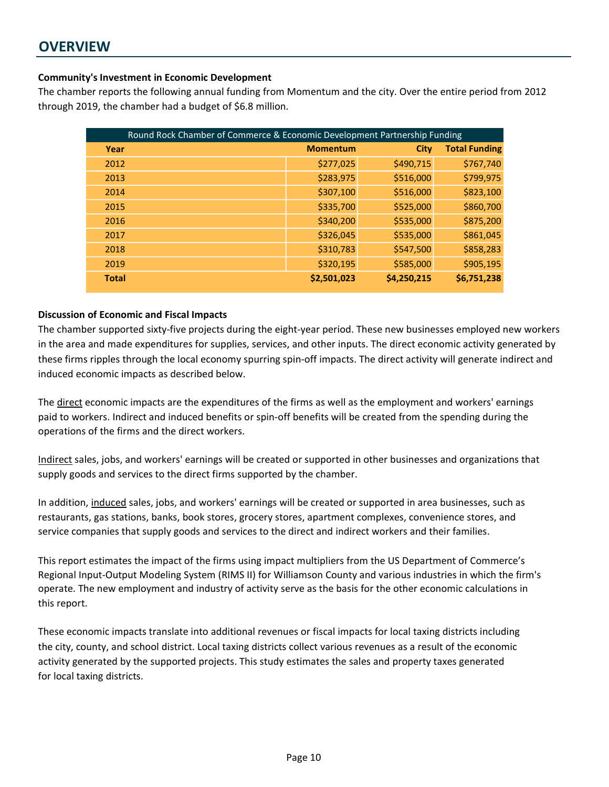## **OVERVIEW**

#### Community's Investment in Economic Development

The chamber reports the following annual funding from Momentum and the city. Over the entire period from 2012 through 2019, the chamber had a budget of \$6.8 million.

| Round Rock Chamber of Commerce & Economic Development Partnership Funding |                 |             |                      |  |
|---------------------------------------------------------------------------|-----------------|-------------|----------------------|--|
| Year                                                                      | <b>Momentum</b> | <b>City</b> | <b>Total Funding</b> |  |
| 2012                                                                      | \$277,025       | \$490,715   | \$767,740            |  |
| 2013                                                                      | \$283,975       | \$516,000   | \$799,975            |  |
| 2014                                                                      | \$307,100       | \$516,000   | \$823,100            |  |
| 2015                                                                      | \$335,700       | \$525,000   | \$860,700            |  |
| 2016                                                                      | \$340,200       | \$535,000   | \$875,200            |  |
| 2017                                                                      | \$326,045       | \$535,000   | \$861,045            |  |
| 2018                                                                      | \$310,783       | \$547,500   | \$858,283            |  |
| 2019                                                                      | \$320,195       | \$585,000   | \$905,195            |  |
| <b>Total</b>                                                              | \$2,501,023     | \$4,250,215 | \$6,751,238          |  |

#### Discussion of Economic and Fiscal Impacts

The chamber supported sixty-five projects during the eight-year period. These new businesses employed new workers in the area and made expenditures for supplies, services, and other inputs. The direct economic activity generated by these firms ripples through the local economy spurring spin-off impacts. The direct activity will generate indirect and induced economic impacts as described below.

The direct economic impacts are the expenditures of the firms as well as the employment and workers' earnings paid to workers. Indirect and induced benefits or spin-off benefits will be created from the spending during the operations of the firms and the direct workers.

Indirect sales, jobs, and workers' earnings will be created or supported in other businesses and organizations that supply goods and services to the direct firms supported by the chamber.

In addition, induced sales, jobs, and workers' earnings will be created or supported in area businesses, such as restaurants, gas stations, banks, book stores, grocery stores, apartment complexes, convenience stores, and service companies that supply goods and services to the direct and indirect workers and their families.

This report estimates the impact of the firms using impact multipliers from the US Department of Commerce's Regional Input-Output Modeling System (RIMS II) for Williamson County and various industries in which the firm's operate. The new employment and industry of activity serve as the basis for the other economic calculations in this report.

These economic impacts translate into additional revenues or fiscal impacts for local taxing districts including the city, county, and school district. Local taxing districts collect various revenues as a result of the economic activity generated by the supported projects. This study estimates the sales and property taxes generated for local taxing districts.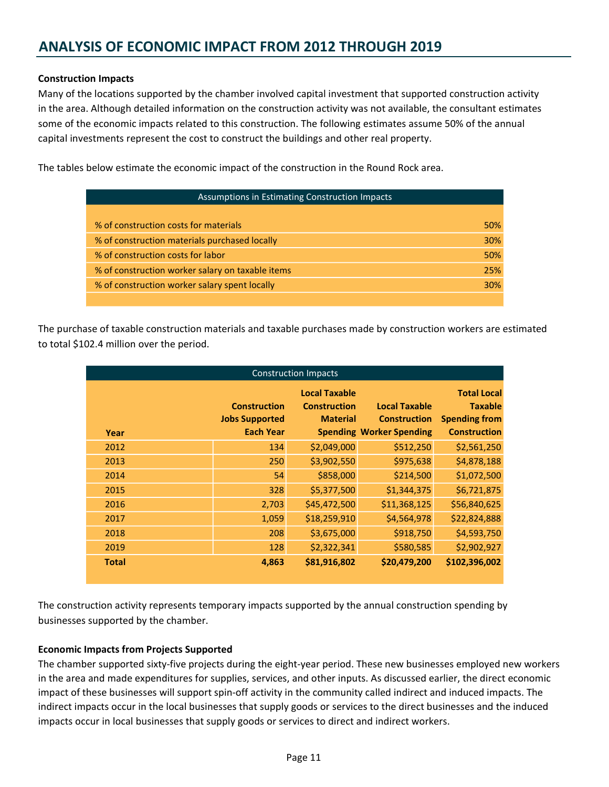#### Construction Impacts

Many of the locations supported by the chamber involved capital investment that supported construction activity in the area. Although detailed information on the construction activity was not available, the consultant estimates some of the economic impacts related to this construction. The following estimates assume 50% of the annual capital investments represent the cost to construct the buildings and other real property.

The tables below estimate the economic impact of the construction in the Round Rock area.

| Assumptions in Estimating Construction Impacts   |            |  |
|--------------------------------------------------|------------|--|
|                                                  |            |  |
| % of construction costs for materials            | <b>50%</b> |  |
| % of construction materials purchased locally    | <b>30%</b> |  |
| % of construction costs for labor                | 50%        |  |
| % of construction worker salary on taxable items | 25%        |  |
| % of construction worker salary spent locally    | 30%        |  |
|                                                  |            |  |

The purchase of taxable construction materials and taxable purchases made by construction workers are estimated to total \$102.4 million over the period.

|              |                                                                  | <b>Construction Impacts</b>                                    |                                                                                |                                                                                     |
|--------------|------------------------------------------------------------------|----------------------------------------------------------------|--------------------------------------------------------------------------------|-------------------------------------------------------------------------------------|
| Year         | <b>Construction</b><br><b>Jobs Supported</b><br><b>Each Year</b> | <b>Local Taxable</b><br><b>Construction</b><br><b>Material</b> | <b>Local Taxable</b><br><b>Construction</b><br><b>Spending Worker Spending</b> | <b>Total Local</b><br><b>Taxable</b><br><b>Spending from</b><br><b>Construction</b> |
| 2012         | 134                                                              | \$2,049,000                                                    | \$512,250                                                                      | \$2,561,250                                                                         |
| 2013         | 250                                                              | \$3,902,550                                                    | \$975,638                                                                      | \$4,878,188                                                                         |
| 2014         | 54                                                               | \$858,000                                                      | \$214,500                                                                      | \$1,072,500                                                                         |
| 2015         | 328                                                              | \$5,377,500                                                    | \$1,344,375                                                                    | \$6,721,875                                                                         |
| 2016         | 2,703                                                            | \$45,472,500                                                   | \$11,368,125                                                                   | \$56,840,625                                                                        |
| 2017         | 1,059                                                            | \$18,259,910                                                   | \$4,564,978                                                                    | \$22,824,888                                                                        |
| 2018         | 208                                                              | \$3,675,000                                                    | \$918,750                                                                      | \$4,593,750                                                                         |
| 2019         | 128                                                              | \$2,322,341                                                    | \$580,585                                                                      | \$2,902,927                                                                         |
| <b>Total</b> | 4,863                                                            | \$81,916,802                                                   | \$20,479,200                                                                   | \$102,396,002                                                                       |

The construction activity represents temporary impacts supported by the annual construction spending by businesses supported by the chamber.

#### Economic Impacts from Projects Supported

The chamber supported sixty-five projects during the eight-year period. These new businesses employed new workers in the area and made expenditures for supplies, services, and other inputs. As discussed earlier, the direct economic impact of these businesses will support spin-off activity in the community called indirect and induced impacts. The indirect impacts occur in the local businesses that supply goods or services to the direct businesses and the induced impacts occur in local businesses that supply goods or services to direct and indirect workers.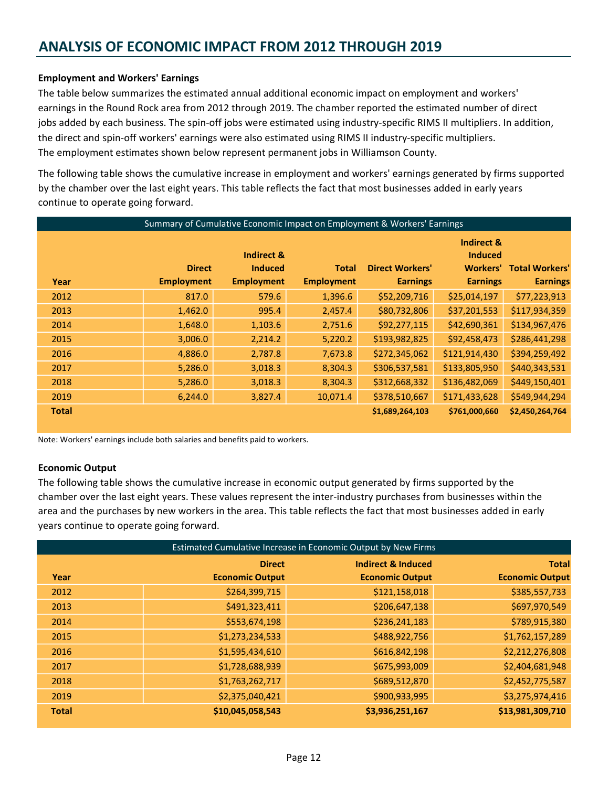#### Employment and Workers' Earnings

The table below summarizes the estimated annual additional economic impact on employment and workers' earnings in the Round Rock area from 2012 through 2019. The chamber reported the estimated number of direct jobs added by each business. The spin-off jobs were estimated using industry-specific RIMS II multipliers. In addition, the direct and spin-off workers' earnings were also estimated using RIMS II industry-specific multipliers. The employment estimates shown below represent permanent jobs in Williamson County.

The following table shows the cumulative increase in employment and workers' earnings generated by firms supported by the chamber over the last eight years. This table reflects the fact that most businesses added in early years continue to operate going forward.

|              | Summary of Cumulative Economic Impact on Employment & Workers' Earnings |                                                              |                                   |                                           |                                                                               |                                          |
|--------------|-------------------------------------------------------------------------|--------------------------------------------------------------|-----------------------------------|-------------------------------------------|-------------------------------------------------------------------------------|------------------------------------------|
| Year         | <b>Direct</b><br><b>Employment</b>                                      | <b>Indirect &amp;</b><br><b>Induced</b><br><b>Employment</b> | <b>Total</b><br><b>Employment</b> | <b>Direct Workers'</b><br><b>Earnings</b> | <b>Indirect &amp;</b><br><b>Induced</b><br><b>Workers'</b><br><b>Earnings</b> | <b>Total Workers'</b><br><b>Earnings</b> |
| 2012         | 817.0                                                                   | 579.6                                                        | 1,396.6                           | \$52,209,716                              | \$25,014,197                                                                  | \$77,223,913                             |
| 2013         | 1,462.0                                                                 | 995.4                                                        | 2,457.4                           | \$80,732,806                              | \$37,201,553                                                                  | \$117,934,359                            |
| 2014         | 1,648.0                                                                 | 1,103.6                                                      | 2,751.6                           | \$92,277,115                              | \$42,690,361                                                                  | \$134,967,476                            |
| 2015         | 3,006.0                                                                 | 2,214.2                                                      | 5,220.2                           | \$193,982,825                             | \$92,458,473                                                                  | \$286,441,298                            |
| 2016         | 4,886.0                                                                 | 2,787.8                                                      | 7,673.8                           | \$272,345,062                             | \$121,914,430                                                                 | \$394,259,492                            |
| 2017         | 5,286.0                                                                 | 3,018.3                                                      | 8,304.3                           | \$306,537,581                             | \$133,805,950                                                                 | \$440,343,531                            |
| 2018         | 5,286.0                                                                 | 3,018.3                                                      | 8,304.3                           | \$312,668,332                             | \$136,482,069                                                                 | \$449,150,401                            |
| 2019         | 6,244.0                                                                 | 3,827.4                                                      | 10,071.4                          | \$378,510,667                             | \$171,433,628                                                                 | \$549,944,294                            |
| <b>Total</b> |                                                                         |                                                              |                                   | \$1,689,264,103                           | \$761,000,660                                                                 | \$2,450,264,764                          |

Note: Workers' earnings include both salaries and benefits paid to workers.

#### Economic Output

The following table shows the cumulative increase in economic output generated by firms supported by the chamber over the last eight years. These values represent the inter-industry purchases from businesses within the area and the purchases by new workers in the area. This table reflects the fact that most businesses added in early years continue to operate going forward.

|              |                        | Estimated Cumulative Increase in Economic Output by New Firms |                        |
|--------------|------------------------|---------------------------------------------------------------|------------------------|
|              | <b>Direct</b>          | <b>Indirect &amp; Induced</b>                                 | <b>Total</b>           |
| Year         | <b>Economic Output</b> | <b>Economic Output</b>                                        | <b>Economic Output</b> |
| 2012         | \$264,399,715          | \$121,158,018                                                 | \$385,557,733          |
| 2013         | \$491,323,411          | \$206,647,138                                                 | \$697,970,549          |
| 2014         | \$553,674,198          | \$236,241,183                                                 | \$789,915,380          |
| 2015         | \$1,273,234,533        | \$488,922,756                                                 | \$1,762,157,289        |
| 2016         | \$1,595,434,610        | \$616,842,198                                                 | \$2,212,276,808        |
| 2017         | \$1,728,688,939        | \$675,993,009                                                 | \$2,404,681,948        |
| 2018         | \$1,763,262,717        | \$689,512,870                                                 | \$2,452,775,587        |
| 2019         | \$2,375,040,421        | \$900,933,995                                                 | \$3,275,974,416        |
| <b>Total</b> | \$10,045,058,543       | \$3,936,251,167                                               | \$13,981,309,710       |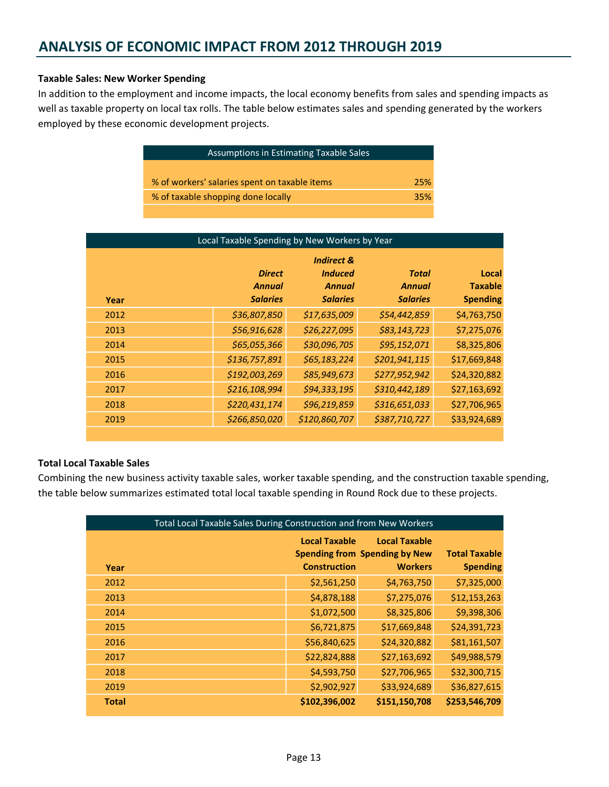#### Taxable Sales: New Worker Spending

In addition to the employment and income impacts, the local economy benefits from sales and spending impacts as well as taxable property on local tax rolls. The table below estimates sales and spending generated by the workers employed by these economic development projects.

| Assumptions in Estimating Taxable Sales       |     |
|-----------------------------------------------|-----|
|                                               |     |
| % of workers' salaries spent on taxable items | 25% |
| % of taxable shopping done locally            | 35% |
|                                               |     |

| Local Taxable Spending by New Workers by Year |                                                   |                                                                             |                                           |                                            |
|-----------------------------------------------|---------------------------------------------------|-----------------------------------------------------------------------------|-------------------------------------------|--------------------------------------------|
| Year                                          | <b>Direct</b><br><b>Annual</b><br><b>Salaries</b> | <b>Indirect &amp;</b><br><b>Induced</b><br><b>Annual</b><br><b>Salaries</b> | Total<br><b>Annual</b><br><b>Salaries</b> | Local<br><b>Taxable</b><br><b>Spending</b> |
| 2012                                          | \$36,807,850                                      | \$17,635,009                                                                | \$54,442,859                              | \$4,763,750                                |
| 2013                                          | \$56,916,628                                      | \$26,227,095                                                                | \$83,143,723                              | \$7,275,076                                |
| 2014                                          | \$65,055,366                                      | \$30,096,705                                                                | \$95,152,071                              | \$8,325,806                                |
| 2015                                          | \$136,757,891                                     | \$65,183,224                                                                | \$201,941,115                             | \$17,669,848                               |
| 2016                                          | \$192,003,269                                     | \$85,949,673                                                                | \$277,952,942                             | \$24,320,882                               |
| 2017                                          | \$216,108,994                                     | \$94,333,195                                                                | \$310,442,189                             | \$27,163,692                               |
| 2018                                          | \$220,431,174                                     | \$96,219,859                                                                | \$316,651,033                             | \$27,706,965                               |
| 2019                                          | \$266,850,020                                     | \$120,860,707                                                               | \$387,710,727                             | \$33,924,689                               |
|                                               |                                                   |                                                                             |                                           |                                            |

#### Total Local Taxable Sales

Combining the new business activity taxable sales, worker taxable spending, and the construction taxable spending, the table below summarizes estimated total local taxable spending in Round Rock due to these projects.

| Total Local Taxable Sales During Construction and from New Workers |  |                      |                                                        |                                         |
|--------------------------------------------------------------------|--|----------------------|--------------------------------------------------------|-----------------------------------------|
|                                                                    |  | <b>Local Taxable</b> | <b>Local Taxable</b>                                   |                                         |
| Year                                                               |  | <b>Construction</b>  | <b>Spending from Spending by New</b><br><b>Workers</b> | <b>Total Taxable</b><br><b>Spending</b> |
| 2012                                                               |  | \$2,561,250          | \$4,763,750                                            | \$7,325,000                             |
| 2013                                                               |  | \$4,878,188          | \$7,275,076                                            | \$12,153,263                            |
| 2014                                                               |  | \$1,072,500          | \$8,325,806                                            | \$9,398,306                             |
| 2015                                                               |  | \$6,721,875          | \$17,669,848                                           | \$24,391,723                            |
| 2016                                                               |  | \$56,840,625         | \$24,320,882                                           | \$81,161,507                            |
| 2017                                                               |  | \$22,824,888         | \$27,163,692                                           | \$49,988,579                            |
| 2018                                                               |  | \$4,593,750          | \$27,706,965                                           | \$32,300,715                            |
| 2019                                                               |  | \$2,902,927          | \$33,924,689                                           | \$36,827,615                            |
| <b>Total</b>                                                       |  | \$102,396,002        | \$151,150,708                                          | \$253,546,709                           |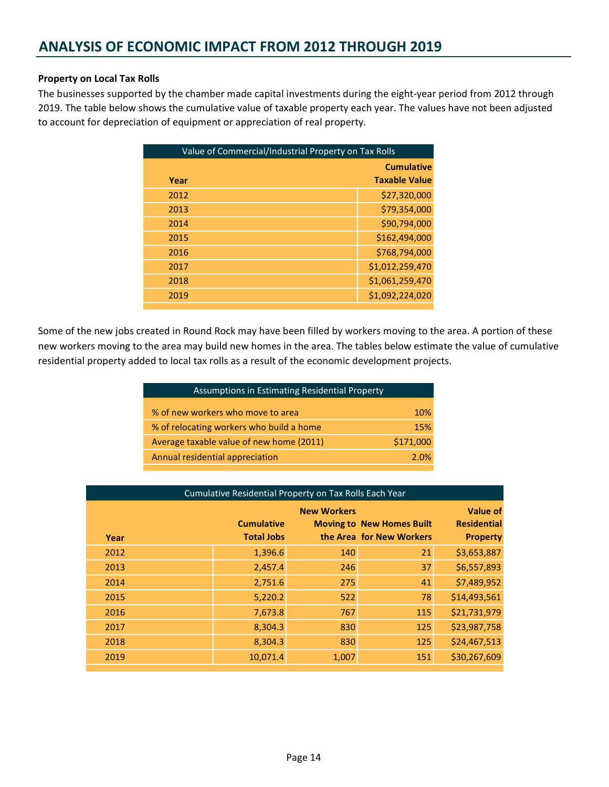#### Property on Local Tax Rolls

The businesses supported by the chamber made capital investments during the eight-year period from 2012 through 2019. The table below shows the cumulative value of taxable property each year. The values have not been adjusted to account for depreciation of equipment or appreciation of real property.

| Value of Commercial/Industrial Property on Tax Rolls |                      |
|------------------------------------------------------|----------------------|
|                                                      | <b>Cumulative</b>    |
| Year                                                 | <b>Taxable Value</b> |
| 2012                                                 | \$27,320,000         |
| 2013                                                 | \$79,354,000         |
| 2014                                                 | \$90,794,000         |
| 2015                                                 | \$162,494,000        |
| 2016                                                 | \$768,794,000        |
| 2017                                                 | \$1,012,259,470      |
| 2018                                                 | \$1,061,259,470      |
| 2019                                                 | \$1,092,224,020      |
|                                                      |                      |

Some of the new jobs created in Round Rock may have been filled by workers moving to the area. A portion of these new workers moving to the area may build new homes in the area. The tables below estimate the value of cumulative residential property added to local tax rolls as a result of the economic development projects.

| Assumptions in Estimating Residential Property |            |
|------------------------------------------------|------------|
| % of new workers who move to area              | <b>10%</b> |
| % of relocating workers who build a home       | 15%        |
| Average taxable value of new home (2011)       | \$171,000  |
| Annual residential appreciation                | 2.0%       |

| Cumulative Residential Property on Tax Rolls Each Year |                                        |                    |                                                              |                                                          |
|--------------------------------------------------------|----------------------------------------|--------------------|--------------------------------------------------------------|----------------------------------------------------------|
| Year                                                   | <b>Cumulative</b><br><b>Total Jobs</b> | <b>New Workers</b> | <b>Moving to New Homes Built</b><br>the Area for New Workers | <b>Value of</b><br><b>Residential</b><br><b>Property</b> |
| 2012                                                   | 1,396.6                                | 140                | 21                                                           | \$3,653,887                                              |
| 2013                                                   | 2,457.4                                | 246                | 37                                                           | \$6,557,893                                              |
| 2014                                                   | 2,751.6                                | 275                | 41                                                           | \$7,489,952                                              |
| 2015                                                   | 5,220.2                                | 522                | 78                                                           | \$14,493,561                                             |
| 2016                                                   | 7,673.8                                | 767                | 115                                                          | \$21,731,979                                             |
| 2017                                                   | 8,304.3                                | 830                | 125                                                          | \$23,987,758                                             |
| 2018                                                   | 8,304.3                                | 830                | 125                                                          | \$24,467,513                                             |
| 2019                                                   | 10,071.4                               | 1,007              | 151                                                          | \$30,267,609                                             |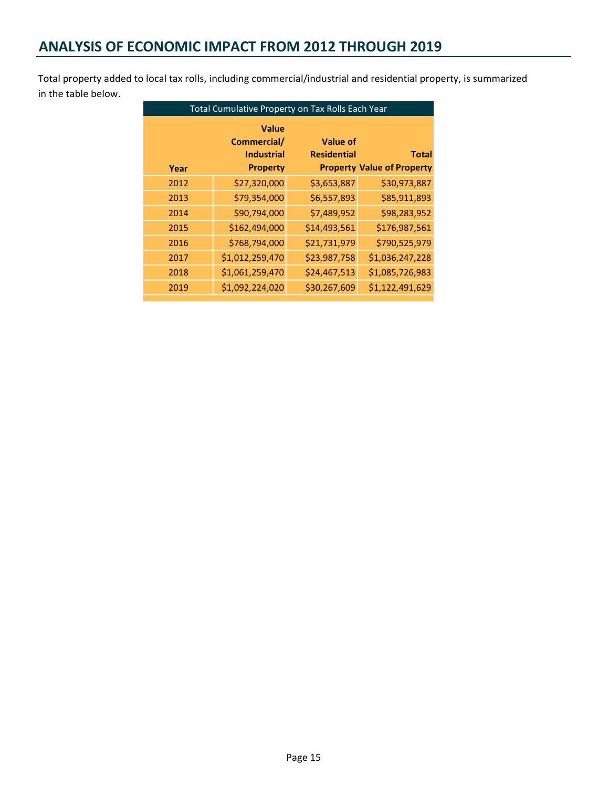## ANALYSIS OF ECONOMIC IMPACT FROM 2012 THROUGH 2019

Total property added to local tax rolls, including commercial/industrial and residential property, is summarized in the table below.

|      | Total Cumulative Property on Tax Rolls Each Year |                    |                                   |
|------|--------------------------------------------------|--------------------|-----------------------------------|
|      | <b>Value</b><br>Commercial/                      | <b>Value of</b>    |                                   |
|      | <b>Industrial</b>                                | <b>Residential</b> | <b>Total</b>                      |
| Year | <b>Property</b>                                  |                    | <b>Property Value of Property</b> |
| 2012 | \$27,320,000                                     | \$3,653,887        | \$30,973,887                      |
| 2013 | \$79,354,000                                     | \$6,557,893        | \$85,911,893                      |
| 2014 | \$90,794,000                                     | \$7,489,952        | \$98,283,952                      |
| 2015 | \$162,494,000                                    | \$14,493,561       | \$176,987,561                     |
| 2016 | \$768,794,000                                    | \$21,731,979       | \$790,525,979                     |
| 2017 | \$1,012,259,470                                  | \$23,987,758       | \$1,036,247,228                   |
| 2018 | \$1,061,259,470                                  | \$24,467,513       | \$1,085,726,983                   |
| 2019 | \$1,092,224,020                                  | \$30,267,609       | \$1,122,491,629                   |
|      |                                                  |                    |                                   |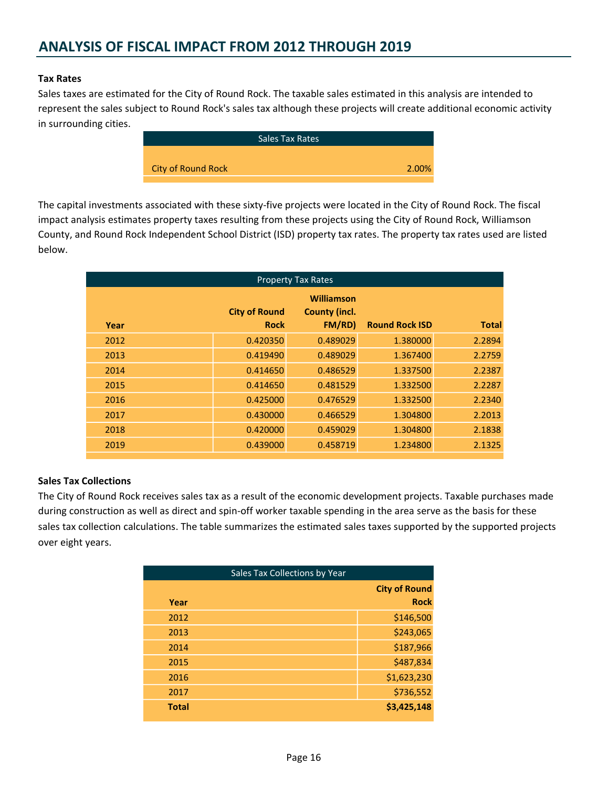## ANALYSIS OF FISCAL IMPACT FROM 2012 THROUGH 2019

#### Tax Rates

Sales taxes are estimated for the City of Round Rock. The taxable sales estimated in this analysis are intended to represent the sales subject to Round Rock's sales tax although these projects will create additional economic activity in surrounding cities.

| <b>Sales Tax Rates</b> |                           |
|------------------------|---------------------------|
|                        |                           |
| 2.00%                  | <b>City of Round Rock</b> |
|                        |                           |

The capital investments associated with these sixty-five projects were located in the City of Round Rock. The fiscal impact analysis estimates property taxes resulting from these projects using the City of Round Rock, Williamson County, and Round Rock Independent School District (ISD) property tax rates. The property tax rates used are listed below.

| <b>Property Tax Rates</b> |                      |                                    |                       |              |
|---------------------------|----------------------|------------------------------------|-----------------------|--------------|
|                           | <b>City of Round</b> | Williamson<br><b>County (incl.</b> |                       |              |
| Year                      | <b>Rock</b>          | FM/RD)                             | <b>Round Rock ISD</b> | <b>Total</b> |
| 2012                      | 0.420350             | 0.489029                           | 1.380000              | 2.2894       |
| 2013                      | 0.419490             | 0.489029                           | 1.367400              | 2.2759       |
| 2014                      | 0.414650             | 0.486529                           | 1.337500              | 2.2387       |
| 2015                      | 0.414650             | 0.481529                           | 1.332500              | 2.2287       |
| 2016                      | 0.425000             | 0.476529                           | 1.332500              | 2.2340       |
| 2017                      | 0.430000             | 0.466529                           | 1.304800              | 2.2013       |
| 2018                      | 0.420000             | 0.459029                           | 1.304800              | 2.1838       |
| 2019                      | 0.439000             | 0.458719                           | 1.234800              | 2.1325       |

#### Sales Tax Collections

The City of Round Rock receives sales tax as a result of the economic development projects. Taxable purchases made during construction as well as direct and spin-off worker taxable spending in the area serve as the basis for these sales tax collection calculations. The table summarizes the estimated sales taxes supported by the supported projects over eight years.

| Sales Tax Collections by Year |  |                      |
|-------------------------------|--|----------------------|
|                               |  | <b>City of Round</b> |
| Year                          |  | <b>Rock</b>          |
| 2012                          |  | \$146,500            |
| 2013                          |  | \$243,065            |
| 2014                          |  | \$187,966            |
| 2015                          |  | \$487,834            |
| 2016                          |  | \$1,623,230          |
| 2017                          |  | \$736,552            |
| <b>Total</b>                  |  | \$3,425,148          |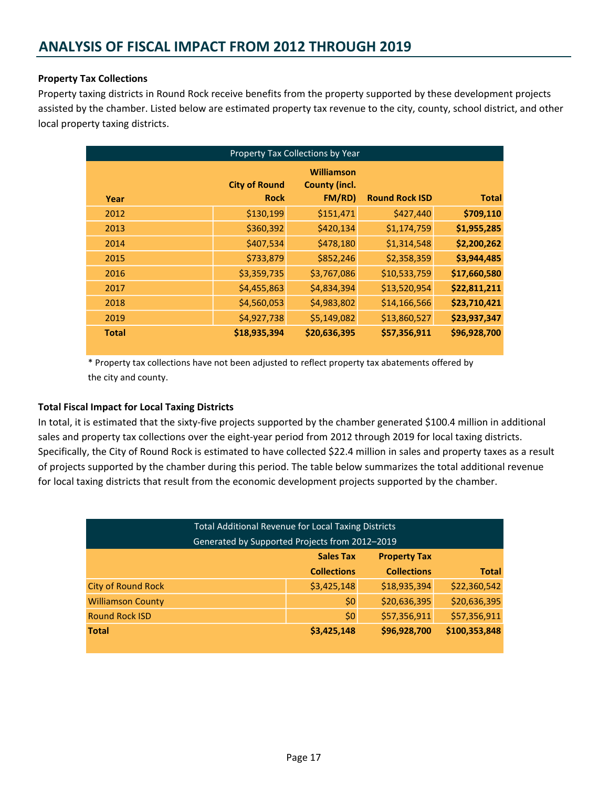#### Property Tax Collections

Property taxing districts in Round Rock receive benefits from the property supported by these development projects assisted by the chamber. Listed below are estimated property tax revenue to the city, county, school district, and other local property taxing districts.

| Property Tax Collections by Year |                                     |                                                     |                       |              |
|----------------------------------|-------------------------------------|-----------------------------------------------------|-----------------------|--------------|
| Year                             | <b>City of Round</b><br><b>Rock</b> | <b>Williamson</b><br><b>County (incl.</b><br>FM/RD) | <b>Round Rock ISD</b> | <b>Total</b> |
| 2012                             | \$130,199                           | \$151,471                                           | \$427,440             | \$709,110    |
| 2013                             | \$360,392                           | \$420,134                                           | \$1,174,759           | \$1,955,285  |
| 2014                             | \$407,534                           | \$478,180                                           | \$1,314,548           | \$2,200,262  |
| 2015                             | \$733,879                           | \$852,246                                           | \$2,358,359           | \$3,944,485  |
| 2016                             | \$3,359,735                         | \$3,767,086                                         | \$10,533,759          | \$17,660,580 |
| 2017                             | \$4,455,863                         | \$4,834,394                                         | \$13,520,954          | \$22,811,211 |
| 2018                             | \$4,560,053                         | \$4,983,802                                         | \$14,166,566          | \$23,710,421 |
| 2019                             | \$4,927,738                         | \$5,149,082                                         | \$13,860,527          | \$23,937,347 |
| <b>Total</b>                     | \$18,935,394                        | \$20,636,395                                        | \$57,356,911          | \$96,928,700 |

\* Property tax collections have not been adjusted to reflect property tax abatements offered by the city and county.

#### Total Fiscal Impact for Local Taxing Districts

In total, it is estimated that the sixty-five projects supported by the chamber generated \$100.4 million in additional sales and property tax collections over the eight-year period from 2012 through 2019 for local taxing districts. Specifically, the City of Round Rock is estimated to have collected \$22.4 million in sales and property taxes as a result of projects supported by the chamber during this period. The table below summarizes the total additional revenue for local taxing districts that result from the economic development projects supported by the chamber.

| <b>Total Additional Revenue for Local Taxing Districts</b><br>Generated by Supported Projects from 2012-2019 |                    |                    |              |  |
|--------------------------------------------------------------------------------------------------------------|--------------------|--------------------|--------------|--|
| <b>Sales Tax</b><br><b>Property Tax</b>                                                                      |                    |                    |              |  |
|                                                                                                              | <b>Collections</b> | <b>Collections</b> | <b>Total</b> |  |
| <b>City of Round Rock</b>                                                                                    | \$3,425,148        | \$18,935,394       | \$22,360,542 |  |
| <b>Williamson County</b>                                                                                     | \$0                | \$20,636,395       | \$20,636,395 |  |
| <b>Round Rock ISD</b>                                                                                        | \$0                | \$57,356,911       | \$57,356,911 |  |
| \$96,928,700<br>\$100,353,848<br>\$3,425,148<br><b>Total</b>                                                 |                    |                    |              |  |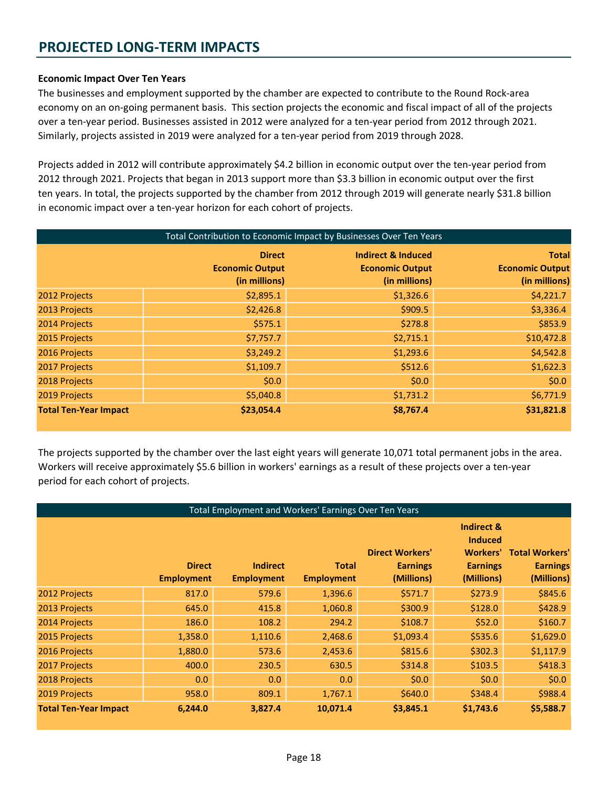## PROJECTED LONG-TERM IMPACTS

#### Economic Impact Over Ten Years

The businesses and employment supported by the chamber are expected to contribute to the Round Rock-area economy on an on-going permanent basis. This section projects the economic and fiscal impact of all of the projects over a ten-year period. Businesses assisted in 2012 were analyzed for a ten-year period from 2012 through 2021. Similarly, projects assisted in 2019 were analyzed for a ten-year period from 2019 through 2028.

Projects added in 2012 will contribute approximately \$4.2 billion in economic output over the ten-year period from 2012 through 2021. Projects that began in 2013 support more than \$3.3 billion in economic output over the first ten years. In total, the projects supported by the chamber from 2012 through 2019 will generate nearly \$31.8 billion in economic impact over a ten-year horizon for each cohort of projects.

| Total Contribution to Economic Impact by Businesses Over Ten Years |                                                          |                                                                          |                                                         |
|--------------------------------------------------------------------|----------------------------------------------------------|--------------------------------------------------------------------------|---------------------------------------------------------|
|                                                                    | <b>Direct</b><br><b>Economic Output</b><br>(in millions) | <b>Indirect &amp; Induced</b><br><b>Economic Output</b><br>(in millions) | <b>Total</b><br><b>Economic Output</b><br>(in millions) |
| 2012 Projects                                                      | \$2,895.1                                                | \$1,326.6                                                                | \$4,221.7                                               |
| 2013 Projects                                                      | \$2,426.8                                                | \$909.5                                                                  | \$3,336.4                                               |
| 2014 Projects                                                      | \$575.1                                                  | \$278.8                                                                  | \$853.9                                                 |
| 2015 Projects                                                      | \$7,757.7                                                | \$2,715.1                                                                | \$10,472.8                                              |
| 2016 Projects                                                      | \$3,249.2                                                | \$1,293.6                                                                | \$4,542.8                                               |
| 2017 Projects                                                      | \$1,109.7                                                | \$512.6                                                                  | \$1,622.3                                               |
| 2018 Projects                                                      | \$0.0\$                                                  | \$0.0\$                                                                  | \$0.0\$                                                 |
| 2019 Projects                                                      | \$5,040.8                                                | \$1,731.2                                                                | \$6,771.9                                               |
| <b>Total Ten-Year Impact</b>                                       | \$23,054.4                                               | \$8,767.4                                                                | \$31,821.8                                              |

The projects supported by the chamber over the last eight years will generate 10,071 total permanent jobs in the area. Workers will receive approximately \$5.6 billion in workers' earnings as a result of these projects over a ten-year period for each cohort of projects.

| Total Employment and Workers' Earnings Over Ten Years |                                    |                                      |                                   |                                                         |                                                                                  |                                                        |
|-------------------------------------------------------|------------------------------------|--------------------------------------|-----------------------------------|---------------------------------------------------------|----------------------------------------------------------------------------------|--------------------------------------------------------|
|                                                       | <b>Direct</b><br><b>Employment</b> | <b>Indirect</b><br><b>Employment</b> | <b>Total</b><br><b>Employment</b> | <b>Direct Workers'</b><br><b>Earnings</b><br>(Millions) | Indirect &<br><b>Induced</b><br><b>Workers'</b><br><b>Earnings</b><br>(Millions) | <b>Total Workers'</b><br><b>Earnings</b><br>(Millions) |
| 2012 Projects                                         | 817.0                              | 579.6                                | 1,396.6                           | \$571.7                                                 | \$273.9                                                                          | \$845.6                                                |
| 2013 Projects                                         | 645.0                              | 415.8                                | 1,060.8                           | \$300.9                                                 | \$128.0                                                                          | \$428.9                                                |
| 2014 Projects                                         | 186.0                              | 108.2                                | 294.2                             | \$108.7                                                 | \$52.0                                                                           | \$160.7                                                |
| 2015 Projects                                         | 1,358.0                            | 1,110.6                              | 2,468.6                           | \$1,093.4                                               | \$535.6                                                                          | \$1,629.0                                              |
| 2016 Projects                                         | 1,880.0                            | 573.6                                | 2,453.6                           | \$815.6                                                 | \$302.3                                                                          | \$1,117.9                                              |
| 2017 Projects                                         | 400.0                              | 230.5                                | 630.5                             | \$314.8                                                 | \$103.5                                                                          | \$418.3                                                |
| 2018 Projects                                         | 0.0                                | 0.0                                  | 0.0                               | \$0.0\$                                                 | \$0.0\$                                                                          | \$0.0\$                                                |
| 2019 Projects                                         | 958.0                              | 809.1                                | 1,767.1                           | \$640.0                                                 | \$348.4                                                                          | \$988.4                                                |
| <b>Total Ten-Year Impact</b>                          | 6,244.0                            | 3,827.4                              | 10,071.4                          | \$3,845.1                                               | \$1,743.6                                                                        | \$5,588.7                                              |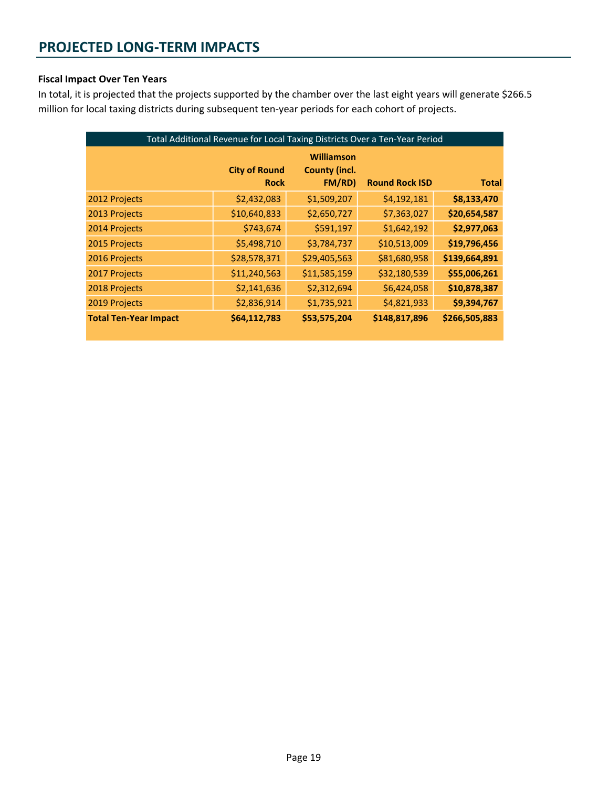#### Fiscal Impact Over Ten Years

In total, it is projected that the projects supported by the chamber over the last eight years will generate \$266.5 million for local taxing districts during subsequent ten-year periods for each cohort of projects.

| Total Additional Revenue for Local Taxing Districts Over a Ten-Year Period |                                     |                                                     |                       |               |
|----------------------------------------------------------------------------|-------------------------------------|-----------------------------------------------------|-----------------------|---------------|
|                                                                            | <b>City of Round</b><br><b>Rock</b> | <b>Williamson</b><br><b>County (incl.</b><br>FM/RD) | <b>Round Rock ISD</b> | <b>Total</b>  |
| 2012 Projects                                                              | \$2,432,083                         | \$1,509,207                                         | \$4,192,181           | \$8,133,470   |
| 2013 Projects                                                              | \$10,640,833                        | \$2,650,727                                         | \$7,363,027           | \$20,654,587  |
| 2014 Projects                                                              | \$743,674                           | \$591,197                                           | \$1,642,192           | \$2,977,063   |
| 2015 Projects                                                              | \$5,498,710                         | \$3,784,737                                         | \$10,513,009          | \$19,796,456  |
| 2016 Projects                                                              | \$28,578,371                        | \$29,405,563                                        | \$81,680,958          | \$139,664,891 |
| 2017 Projects                                                              | \$11,240,563                        | \$11,585,159                                        | \$32,180,539          | \$55,006,261  |
| 2018 Projects                                                              | \$2,141,636                         | \$2,312,694                                         | \$6,424,058           | \$10,878,387  |
| 2019 Projects                                                              | \$2,836,914                         | \$1,735,921                                         | \$4,821,933           | \$9,394,767   |
| <b>Total Ten-Year Impact</b>                                               | \$64,112,783                        | \$53,575,204                                        | \$148,817,896         | \$266,505,883 |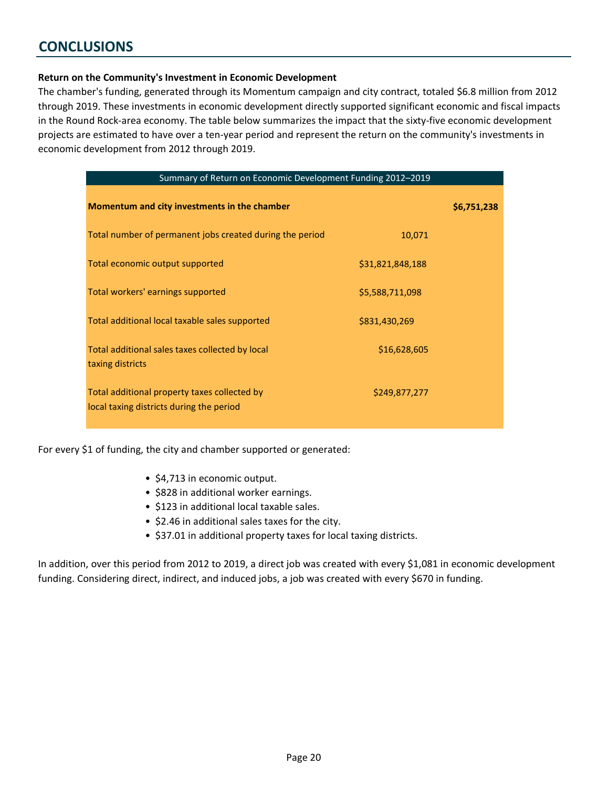## **CONCLUSIONS**

#### Return on the Community's Investment in Economic Development

The chamber's funding, generated through its Momentum campaign and city contract, totaled \$6.8 million from 2012 through 2019. These investments in economic development directly supported significant economic and fiscal impacts in the Round Rock-area economy. The table below summarizes the impact that the sixty-five economic development projects are estimated to have over a ten-year period and represent the return on the community's investments in economic development from 2012 through 2019.

| Summary of Return on Economic Development Funding 2012-2019                              |                  |             |
|------------------------------------------------------------------------------------------|------------------|-------------|
| Momentum and city investments in the chamber                                             |                  | \$6,751,238 |
| Total number of permanent jobs created during the period                                 | 10,071           |             |
| Total economic output supported                                                          | \$31,821,848,188 |             |
| Total workers' earnings supported                                                        | \$5,588,711,098  |             |
| Total additional local taxable sales supported                                           | \$831,430,269    |             |
| Total additional sales taxes collected by local<br>taxing districts                      | \$16,628,605     |             |
| Total additional property taxes collected by<br>local taxing districts during the period | \$249,877,277    |             |

For every \$1 of funding, the city and chamber supported or generated:

- \$4,713 in economic output.
- \$828 in additional worker earnings.
- \$123 in additional local taxable sales.
- \$2.46 in additional sales taxes for the city.
- \$37.01 in additional property taxes for local taxing districts.

In addition, over this period from 2012 to 2019, a direct job was created with every \$1,081 in economic development funding. Considering direct, indirect, and induced jobs, a job was created with every \$670 in funding.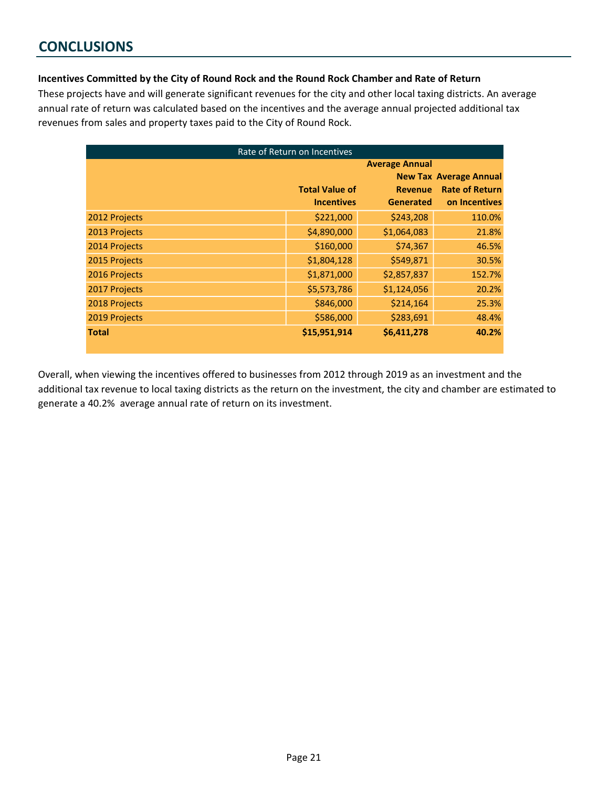## **CONCLUSIONS**

#### Incentives Committed by the City of Round Rock and the Round Rock Chamber and Rate of Return

These projects have and will generate significant revenues for the city and other local taxing districts. An average annual rate of return was calculated based on the incentives and the average annual projected additional tax revenues from sales and property taxes paid to the City of Round Rock.

|               | Rate of Return on Incentives |                       |                               |
|---------------|------------------------------|-----------------------|-------------------------------|
|               |                              | <b>Average Annual</b> |                               |
|               |                              |                       | <b>New Tax Average Annual</b> |
|               | <b>Total Value of</b>        | <b>Revenue</b>        | <b>Rate of Return</b>         |
|               | <b>Incentives</b>            | <b>Generated</b>      | on Incentives                 |
| 2012 Projects | \$221,000                    | \$243,208             | 110.0%                        |
| 2013 Projects | \$4,890,000                  | \$1,064,083           | 21.8%                         |
| 2014 Projects | \$160,000                    | \$74,367              | 46.5%                         |
| 2015 Projects | \$1,804,128                  | \$549,871             | 30.5%                         |
| 2016 Projects | \$1,871,000                  | \$2,857,837           | 152.7%                        |
| 2017 Projects | \$5,573,786                  | \$1,124,056           | 20.2%                         |
| 2018 Projects | \$846,000                    | \$214,164             | 25.3%                         |
| 2019 Projects | \$586,000                    | \$283,691             | 48.4%                         |
| <b>Total</b>  | \$15,951,914                 | \$6,411,278           | 40.2%                         |

Overall, when viewing the incentives offered to businesses from 2012 through 2019 as an investment and the additional tax revenue to local taxing districts as the return on the investment, the city and chamber are estimated to generate a 40.2% average annual rate of return on its investment.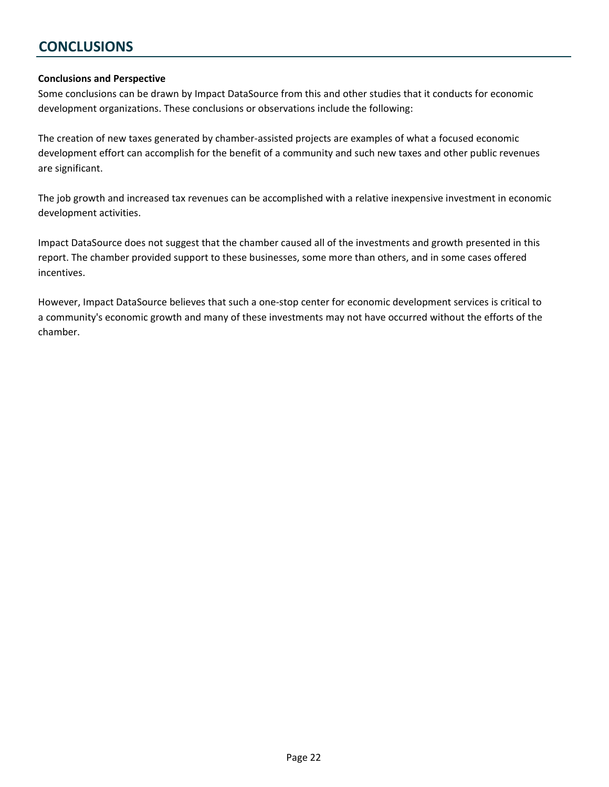## **CONCLUSIONS**

#### Conclusions and Perspective

Some conclusions can be drawn by Impact DataSource from this and other studies that it conducts for economic development organizations. These conclusions or observations include the following:

The creation of new taxes generated by chamber-assisted projects are examples of what a focused economic development effort can accomplish for the benefit of a community and such new taxes and other public revenues are significant.

The job growth and increased tax revenues can be accomplished with a relative inexpensive investment in economic development activities.

Impact DataSource does not suggest that the chamber caused all of the investments and growth presented in this report. The chamber provided support to these businesses, some more than others, and in some cases offered incentives.

However, Impact DataSource believes that such a one-stop center for economic development services is critical to a community's economic growth and many of these investments may not have occurred without the efforts of the chamber.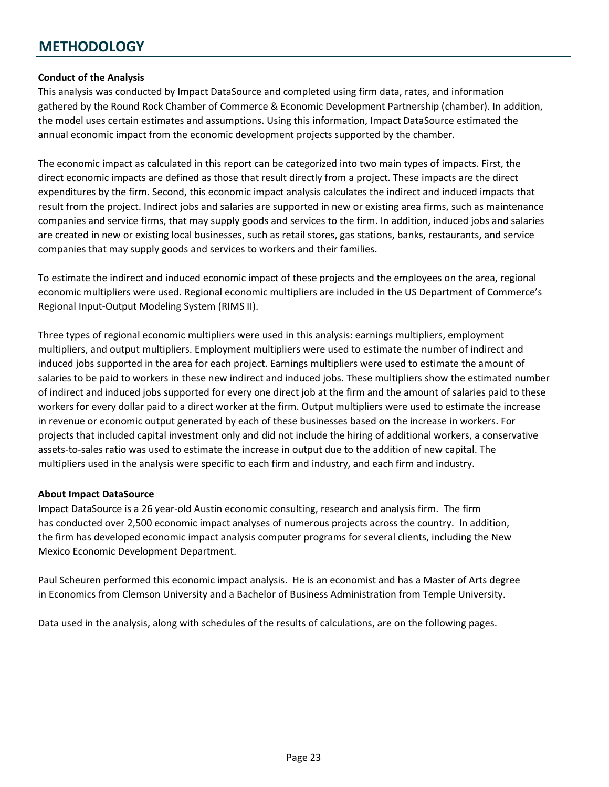## **METHODOLOGY**

#### Conduct of the Analysis

This analysis was conducted by Impact DataSource and completed using firm data, rates, and information gathered by the Round Rock Chamber of Commerce & Economic Development Partnership (chamber). In addition, the model uses certain estimates and assumptions. Using this information, Impact DataSource estimated the annual economic impact from the economic development projects supported by the chamber.

The economic impact as calculated in this report can be categorized into two main types of impacts. First, the direct economic impacts are defined as those that result directly from a project. These impacts are the direct expenditures by the firm. Second, this economic impact analysis calculates the indirect and induced impacts that result from the project. Indirect jobs and salaries are supported in new or existing area firms, such as maintenance companies and service firms, that may supply goods and services to the firm. In addition, induced jobs and salaries are created in new or existing local businesses, such as retail stores, gas stations, banks, restaurants, and service companies that may supply goods and services to workers and their families.

To estimate the indirect and induced economic impact of these projects and the employees on the area, regional economic multipliers were used. Regional economic multipliers are included in the US Department of Commerce's Regional Input-Output Modeling System (RIMS II).

Three types of regional economic multipliers were used in this analysis: earnings multipliers, employment multipliers, and output multipliers. Employment multipliers were used to estimate the number of indirect and induced jobs supported in the area for each project. Earnings multipliers were used to estimate the amount of salaries to be paid to workers in these new indirect and induced jobs. These multipliers show the estimated number of indirect and induced jobs supported for every one direct job at the firm and the amount of salaries paid to these workers for every dollar paid to a direct worker at the firm. Output multipliers were used to estimate the increase in revenue or economic output generated by each of these businesses based on the increase in workers. For projects that included capital investment only and did not include the hiring of additional workers, a conservative assets-to-sales ratio was used to estimate the increase in output due to the addition of new capital. The multipliers used in the analysis were specific to each firm and industry, and each firm and industry.

#### About Impact DataSource

Impact DataSource is a 26 year-old Austin economic consulting, research and analysis firm. The firm has conducted over 2,500 economic impact analyses of numerous projects across the country. In addition, the firm has developed economic impact analysis computer programs for several clients, including the New Mexico Economic Development Department.

Paul Scheuren performed this economic impact analysis. He is an economist and has a Master of Arts degree in Economics from Clemson University and a Bachelor of Business Administration from Temple University.

Data used in the analysis, along with schedules of the results of calculations, are on the following pages.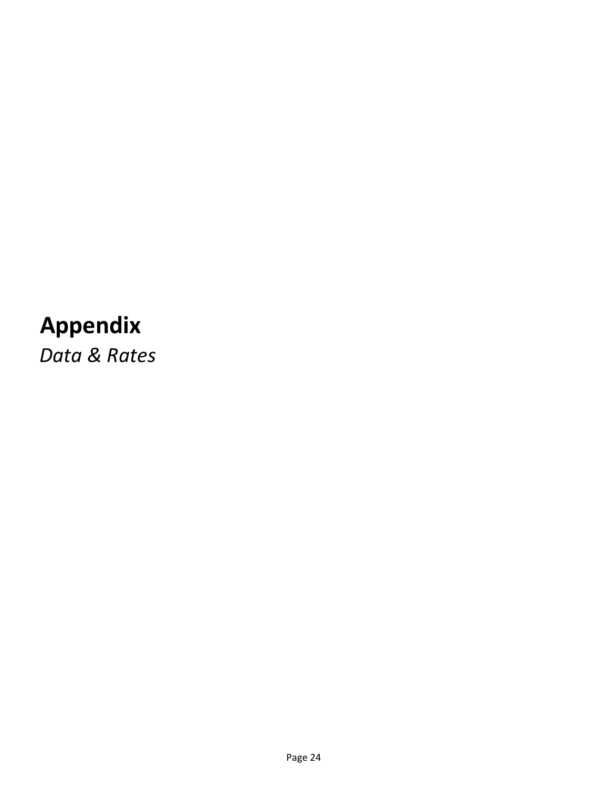# Appendix

Data & Rates